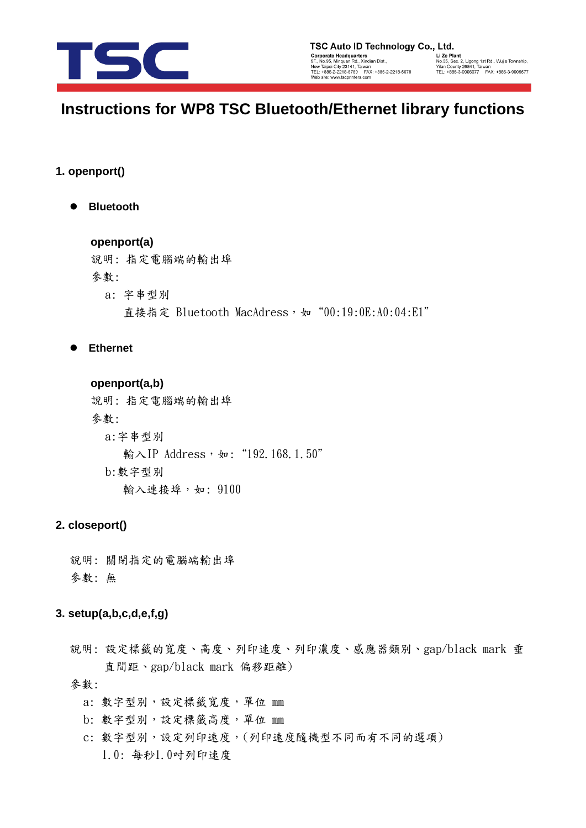

y<br>
Li Ze Plant<br>
No.35, Sec. 2, Ligong 1st Rd., Wujie Township,<br>Yilan County 26841, Taiwan<br>TEL: +886-3-9906677 FAX: +886-3-9905577

## **Instructions for WP8 TSC Bluetooth/Ethernet library functions**

#### **1. openport()**

**Bluetooth** 

## **openport(a)**

說明: 指定電腦端的輸出埠 參數: a: 字串型別

直接指定 Bluetooth MacAdress, 如 "00:19:0E:A0:04:E1"

**Ethernet** 

**openport(a,b)** 說明: 指定電腦端的輸出埠 參數: a:字串型別 輸入IP Address, 如: "192.168.1.50" b:數字型別 輸入連接埠,如: 9100

## **2. closeport()**

說明: 關閉指定的電腦端輸出埠 參數: 無

## **3. setup(a,b,c,d,e,f,g)**

說明: 設定標籤的寬度、高度、列印速度、列印濃度、感應器類別、gap/black mark 垂 直間距、gap/black mark 偏移距離)

- a: 數字型別,設定標籤寬度,單位 mm
- b: 數字型別,設定標籤高度,單位 mm
- c: 數字型別,設定列印速度,(列印速度隨機型不同而有不同的選項) 1.0: 每秒1.0吋列印速度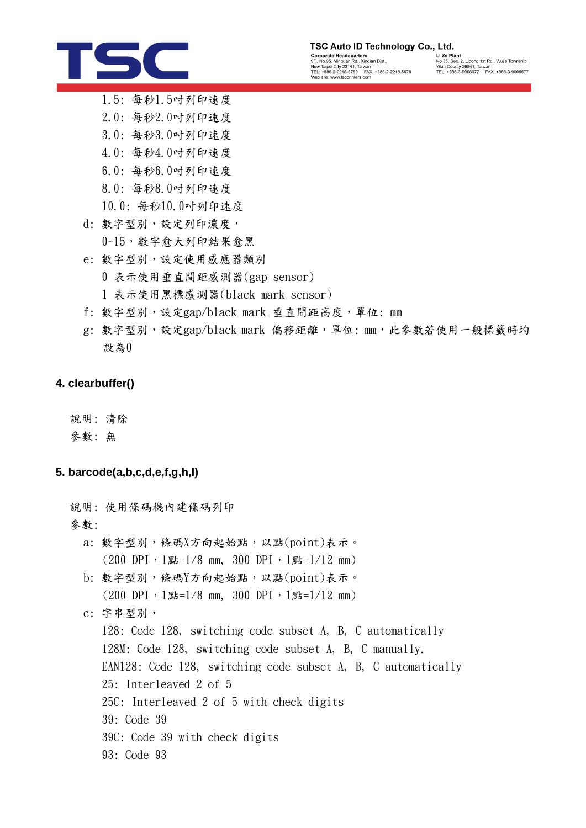# TSC

#### TSC Auto ID Technology Co., Ltd.

Corporate Headquarters<br>
9F., No.95, Minquan Rd., Xindian Dist.,<br>
New Taipei (1ty 23141, Tatwan<br>
New Taipei (1ty 23141, Tatwan<br>
TEL: +886-2-2218-6789<br>
Web site: www.tscprinters.com

**Lize Plant<br>Lize Plant<br>No.35, Sec. 2, Ligong 1st Rd., Wujie Township,<br>Yilan County 26841, Taiwan<br>TEL: +886-3-9906677 FAX: +886-3-9905577** 

- 1.5: 每秒1.5吋列印速度
- 2.0: 每秒2.0吋列印速度
- 3.0: 每秒3.0吋列印速度
- 4.0: 每秒4.0吋列印速度
- 6.0: 每秒6.0吋列印速度
- 8.0: 每秒8.0吋列印速度
- 10.0: 每秒10.0吋列印速度
- d: 數字型別,設定列印濃度,
	- 0~15,數字愈大列印結果愈黑
- e: 數字型別,設定使用感應器類別
	- 0 表示使用垂直間距感測器(gap sensor)
	- 1 表示使用黑標感測器(black mark sensor)
- f: 數字型別,設定gap/black mark 垂直間距高度,單位: mm
- g: 數字型別,設定gap/black mark 偏移距離,單位: mm, 此參數若使用一般標籤時均 設為0

## **4. clearbuffer()**

說明: 清除

參數: 無

## **5. barcode(a,b,c,d,e,f,g,h,I)**

說明: 使用條碼機內建條碼列印 參數: a: 數字型別,條碼X方向起始點,以點(point)表示。  $(200$  DPI,  $1$ 點=1/8 mm, 300 DPI,  $1$ 點=1/12 mm) b: 數字型別,條碼Y方向起始點,以點(point)表示。  $(200 \text{ DPI} \cdot 1$ 點=1/8 mm, 300 DPI, 1點=1/12 mm) c: 字串型別, 128: Code 128, switching code subset A, B, C automatically 128M: Code 128, switching code subset A, B, C manually. EAN128: Code 128, switching code subset A, B, C automatically 25: Interleaved 2 of 5 25C: Interleaved 2 of 5 with check digits 39: Code 39 39C: Code 39 with check digits 93: Code 93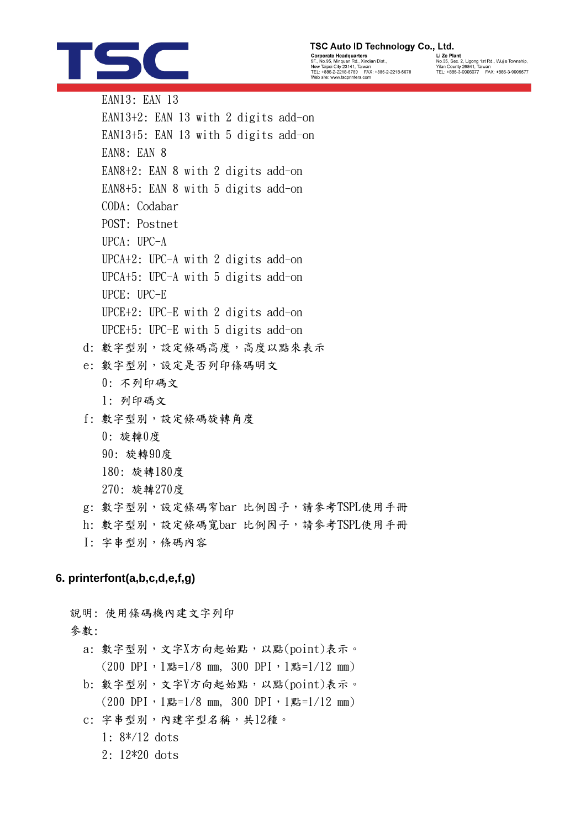# TSC

| TSC Auto ID Technology Co., Ltd |       |
|---------------------------------|-------|
| Cornorato Hoadquartore          | 117aE |

Corporate Headquarters<br>9F., No.95, Minquan Rd, Xindian Dist.,<br>New Taipei City 23141, Taiwan<br>TEL: +886-2-2218-6789 FAX: +886-2-2218-5678<br>Web site: www.tscprinters.com

Li Ze Plant<br>No.35, Sec. 2, Ligong 1st Rd., Wujie Township,<br>Yilan County 26841, Taiwan<br>TEL: +886-3-9906677 FAX: +886-3-9905577

EAN13: EAN 13 EAN13+2: EAN 13 with 2 digits add-on EAN13+5: EAN 13 with 5 digits add-on EAN8: EAN 8 EAN8+2: EAN 8 with 2 digits add-on EAN8+5: EAN 8 with 5 digits add-on CODA: Codabar POST: Postnet UPCA: UPC-A UPCA+2: UPC-A with 2 digits add-on UPCA+5: UPC-A with 5 digits add-on UPCE: UPC-E UPCE+2: UPC-E with 2 digits add-on UPCE+5: UPC-E with 5 digits add-on

- d: 數字型別,設定條碼高度,高度以點來表示
- e: 數字型別,設定是否列印條碼明文
	- 0: 不列印碼文
	- 1: 列印碼文
- f: 數字型別,設定條碼旋轉角度
	- 0: 旋轉0度
	- 90: 旋轉90度
	- 180: 旋轉180度
	- 270: 旋轉270度
- g: 數字型別,設定條碼窄bar 比例因子,請參考TSPL使用手冊
- h: 數字型別,設定條碼寬bar 比例因子,請參考TSPL使用手冊
- I: 字串型別,條碼內容

## **6. printerfont(a,b,c,d,e,f,g)**

說明: 使用條碼機內建文字列印

- a: 數字型別,文字X方向起始點,以點(point)表示。  $(200 \text{ DPI} \cdot 1 \text{g} = 1/8 \text{mm}, 300 \text{ DPI} \cdot 1 \text{g} = 1/12 \text{mm})$ b: 數字型別,文字Y方向起始點,以點(point)表示。  $(200$  DPI,  $1$ 點=1/8 mm, 300 DPI,  $1$ 點=1/12 mm) c: 字串型別,內建字型名稱,共12種。
	- 1: 8\*/12 dots
	- 2: 12\*20 dots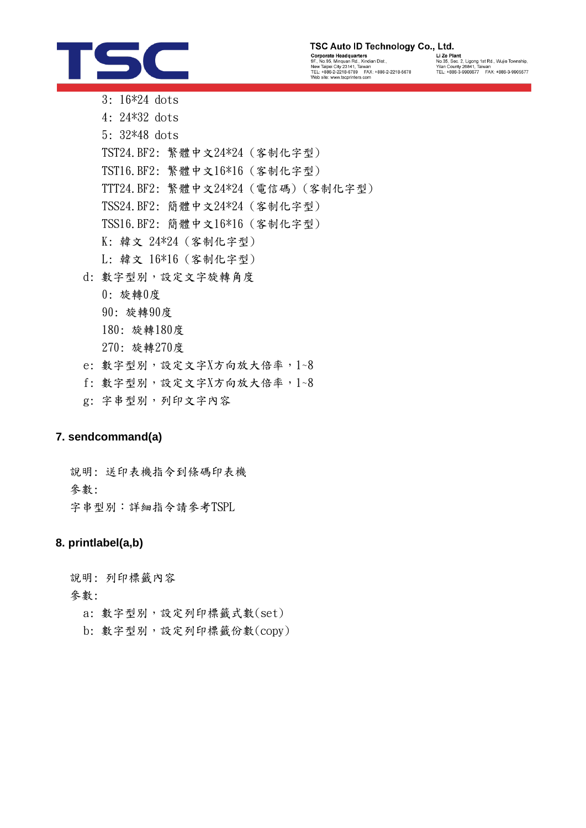

## TSC Auto ID Technology Co., Ltd.

Corporate Headquarters<br>
9F., No.95, Minquan Rd., Xindian Dist.,<br>
New Taipei City 23141, Tatwan<br>
New Taipei City 23141, Tatwan<br>
TEL: +886-2-2218-6789<br>
Web site: www.tscprinters.com

y<br>
Li Ze Plant<br>
No.35, Sec. 2, Ligong 1st Rd., Wujie Township,<br>Yilan County 26841, Taiwan<br>TEL: +886-3-9906677 FAX: +886-3-9905577

- 3: 16\*24 dots 4: 24\*32 dots 5: 32\*48 dots TST24.BF2: 繁體中文24\*24 (客制化字型) TST16.BF2: 繁體中文16\*16 (客制化字型) TTT24.BF2: 繁體中文24\*24 (電信碼) (客制化字型) TSS24.BF2: 簡體中文24\*24 (客制化字型) TSS16.BF2: 簡體中文16\*16 (客制化字型) K: 韓文 24\*24 (客制化字型) L: 韓文 16\*16 (客制化字型) d: 數字型別,設定文字旋轉角度 0: 旋轉0度 90: 旋轉90度
	-
	- 180: 旋轉180度
	- 270: 旋轉270度
- e: 數字型別,設定文字X方向放大倍率, 1~8
- f: 數字型別,設定文字X方向放大倍率,1~8
- g: 字串型別,列印文字內容

## **7. sendcommand(a)**

說明: 送印表機指令到條碼印表機 參數: 字串型別:詳細指令請參考TSPL

## **8. printlabel(a,b)**

說明: 列印標籤內容

- a: 數字型別,設定列印標籤式數(set)
- b: 數字型別,設定列印標籤份數(copy)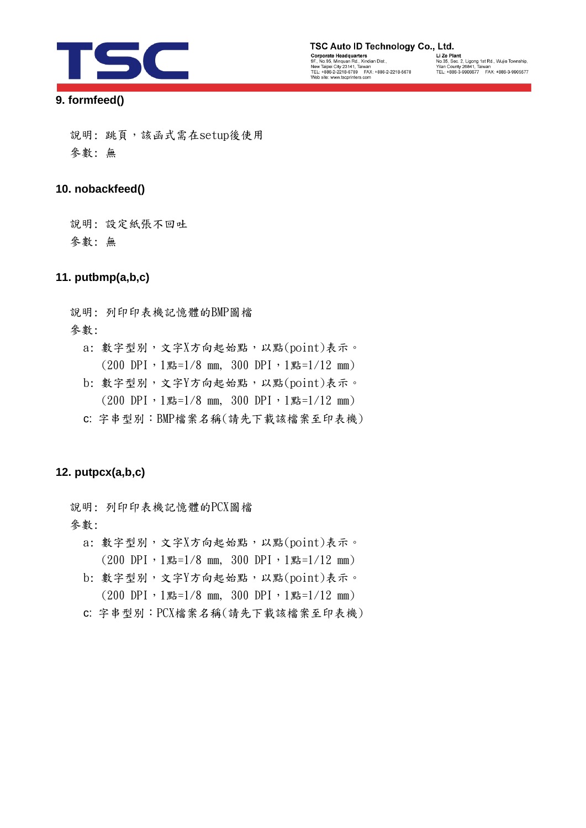

# TSC Auto ID Technology Co., Ltd. Corporate Headquarters<br>
9F., No.95, Minquan Rd., Xindian Dist.,<br>
New Taipei (1ty 23141, Tatwan<br>
New Taipei (1ty 23141, Tatwan<br>
TEL: +886-2-2218-6789<br>
Web site: www.tscprinters.com

y<br>
Li Ze Plant<br>
No.35, Sec. 2, Ligong 1st Rd., Wujie Township,<br>Yilan County 26841, Taiwan<br>TEL: +886-3-9906677 FAX: +886-3-9905577

## **9. formfeed()**

說明:跳頁,該函式需在setup後使用 參數: 無

## **10. nobackfeed()**

說明: 設定紙張不回吐

參數: 無

## **11. putbmp(a,b,c)**

說明: 列印印表機記憶體的BMP圖檔

參數:

- a: 數字型別,文字X方向起始點,以點(point)表示。  $(200 \text{ DPI} \cdot 1)$ 點 = 1/8 mm, 300 DPI, 1點 = 1/12 mm)
- b: 數字型別,文字Y方向起始點,以點(point)表示。  $(200 \text{ DPI} \cdot 1 \text{g} = 1/8 \text{ mm}, 300 \text{ DPI} \cdot 1 \text{g} = 1/12 \text{ mm})$
- c: 字串型別:BMP檔案名稱(請先下載該檔案至印表機)

## **12. putpcx(a,b,c)**

說明: 列印印表機記憶體的PCX圖檔

- a: 數字型別,文字X方向起始點,以點(point)表示。  $(200$  DPI,  $1$ 點=1/8 mm, 300 DPI,  $1$ 點=1/12 mm)
- b: 數字型別,文字Y方向起始點,以點(point)表示。  $(200$  DPI,  $1$ 點=1/8 mm, 300 DPI,  $1$ 點=1/12 mm)
- c: 字串型別:PCX檔案名稱(請先下載該檔案至印表機)